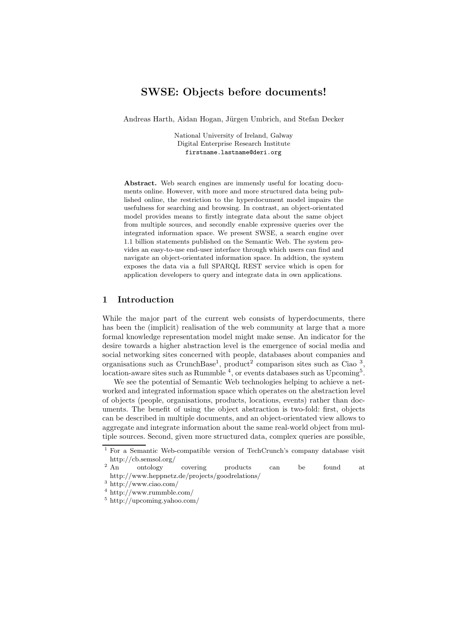# SWSE: Objects before documents!

Andreas Harth, Aidan Hogan, Jürgen Umbrich, and Stefan Decker

National University of Ireland, Galway Digital Enterprise Research Institute firstname.lastname@deri.org

Abstract. Web search engines are immensly useful for locating documents online. However, with more and more structured data being published online, the restriction to the hyperdocument model impairs the usefulness for searching and browsing. In contrast, an object-orientated model provides means to firstly integrate data about the same object from multiple sources, and secondly enable expressive queries over the integrated information space. We present SWSE, a search engine over 1.1 billion statements published on the Semantic Web. The system provides an easy-to-use end-user interface through which users can find and navigate an object-orientated information space. In addtion, the system exposes the data via a full SPARQL REST service which is open for application developers to query and integrate data in own applications.

### 1 Introduction

While the major part of the current web consists of hyperdocuments, there has been the (implicit) realisation of the web community at large that a more formal knowledge representation model might make sense. An indicator for the desire towards a higher abstraction level is the emergence of social media and social networking sites concerned with people, databases about companies and organisations such as CrunchBase<sup>1</sup>, product<sup>2</sup> comparison sites such as Ciao<sup>3</sup>, location-aware sites such as Rummble<sup>4</sup>, or events databases such as Upcoming<sup>5</sup>.

We see the potential of Semantic Web technologies helping to achieve a networked and integrated information space which operates on the abstraction level of objects (people, organisations, products, locations, events) rather than documents. The benefit of using the object abstraction is two-fold: first, objects can be described in multiple documents, and an object-orientated view allows to aggregate and integrate information about the same real-world object from multiple sources. Second, given more structured data, complex queries are possible,

<sup>1</sup> For a Semantic Web-compatible version of TechCrunch's company database visit http://cb.semsol.org/<br> $\frac{2 \text{ An}}{\text{outology}}$ 

<sup>&</sup>lt;sup>2</sup> An ontology covering products can be found at http://www.heppnetz.de/projects/goodrelations/

<sup>3</sup> http://www.ciao.com/

<sup>4</sup> http://www.rummble.com/

<sup>5</sup> http://upcoming.yahoo.com/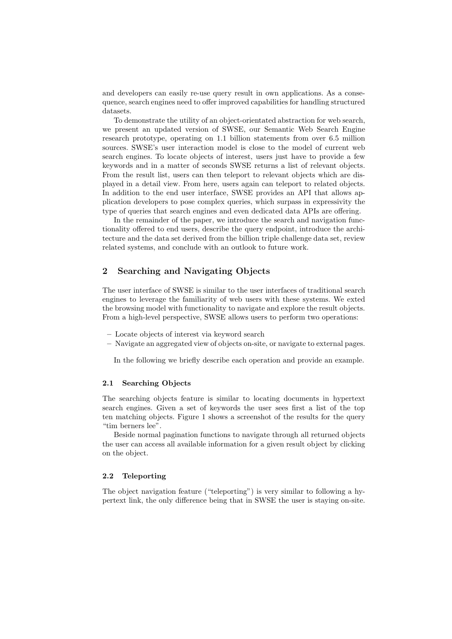and developers can easily re-use query result in own applications. As a consequence, search engines need to offer improved capabilities for handling structured datasets.

To demonstrate the utility of an object-orientated abstraction for web search, we present an updated version of SWSE, our Semantic Web Search Engine research prototype, operating on 1.1 billion statements from over 6.5 million sources. SWSE's user interaction model is close to the model of current web search engines. To locate objects of interest, users just have to provide a few keywords and in a matter of seconds SWSE returns a list of relevant objects. From the result list, users can then teleport to relevant objects which are displayed in a detail view. From here, users again can teleport to related objects. In addition to the end user interface, SWSE provides an API that allows application developers to pose complex queries, which surpass in expressivity the type of queries that search engines and even dedicated data APIs are offering.

In the remainder of the paper, we introduce the search and navigation functionality offered to end users, describe the query endpoint, introduce the architecture and the data set derived from the billion triple challenge data set, review related systems, and conclude with an outlook to future work.

## 2 Searching and Navigating Objects

The user interface of SWSE is similar to the user interfaces of traditional search engines to leverage the familiarity of web users with these systems. We exted the browsing model with functionality to navigate and explore the result objects. From a high-level perspective, SWSE allows users to perform two operations:

- Locate objects of interest via keyword search
- Navigate an aggregated view of objects on-site, or navigate to external pages.

In the following we briefly describe each operation and provide an example.

#### 2.1 Searching Objects

The searching objects feature is similar to locating documents in hypertext search engines. Given a set of keywords the user sees first a list of the top ten matching objects. Figure 1 shows a screenshot of the results for the query "tim berners lee".

Beside normal pagination functions to navigate through all returned objects the user can access all available information for a given result object by clicking on the object.

#### 2.2 Teleporting

The object navigation feature ("teleporting") is very similar to following a hypertext link, the only difference being that in SWSE the user is staying on-site.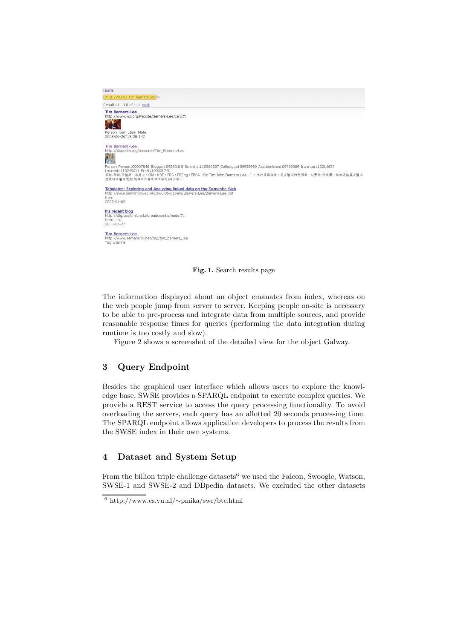| Home                                                                                                                                                                                                                                                                                            |
|-------------------------------------------------------------------------------------------------------------------------------------------------------------------------------------------------------------------------------------------------------------------------------------------------|
| ? KEYWORD tim berners lee                                                                                                                                                                                                                                                                       |
| Results 1 - 10 of 111 next                                                                                                                                                                                                                                                                      |
| <b>Tim Berners-Lee</b><br>http://www.w3.org/People/Berners-Lee/card#i                                                                                                                                                                                                                           |
|                                                                                                                                                                                                                                                                                                 |
| Person item Item Male<br>2008-06-26T18:28:14Z                                                                                                                                                                                                                                                   |
| Tim Berners-Lee<br>http://dbpedia.org/resource/Tim_Berners-Lee                                                                                                                                                                                                                                  |
| Person Person100007846 Blogger109860415 Scientist110560637 Colleague109935990 Academician109759069 Inventor110214637<br>Laureate110249011 Entity100001740<br>蒂姆·約翰·伯纳斯一李爵士, OM, KBE, FRS, FREng, FRSA (Sir Tim John Berners-Lee,),生於英國倫敦,是万维网的发明者,与罗勃·卡力奧一起他是监视万维网<br>发展的万维网联盟(總部位於麻省理工學院)的主席。" |
| Tabulator: Exploring and Analyzing linked data on the Semantic Web<br>http://swui.semanticweb.org/swui06/papers/Berners-Lee/Berners-Lee.pdf<br>item.<br>$2007 - 01 - 02$                                                                                                                        |
| his recent blog<br>http://dig.csail.mit.edu/breadcrumbs/node/71<br>item Link<br>$2006 - 01 - 27$                                                                                                                                                                                                |
| <b>Tim Berners-Lee</b><br>http://www.semanlink.net/tag/tim_berners_lee<br>Tag channel                                                                                                                                                                                                           |

Fig. 1. Search results page

The information displayed about an object emanates from index, whereas on the web people jump from server to server. Keeping people on-site is necessary to be able to pre-process and integrate data from multiple sources, and provide reasonable response times for queries (performing the data integration during runtime is too costly and slow).

Figure 2 shows a screenshot of the detailed view for the object Galway.

# 3 Query Endpoint

Besides the graphical user interface which allows users to explore the knowledge base, SWSE provides a SPARQL endpoint to execute complex queries. We provide a REST service to access the query processing functionality. To avoid overloading the servers, each query has an allotted 20 seconds processing time. The SPARQL endpoint allows application developers to process the results from the SWSE index in their own systems.

# 4 Dataset and System Setup

From the billion triple challenge datasets<sup>6</sup> we used the Falcon, Swoogle, Watson, SWSE-1 and SWSE-2 and DBpedia datasets. We excluded the other datasets

<sup>6</sup> http://www.cs.vu.nl/∼pmika/swc/btc.html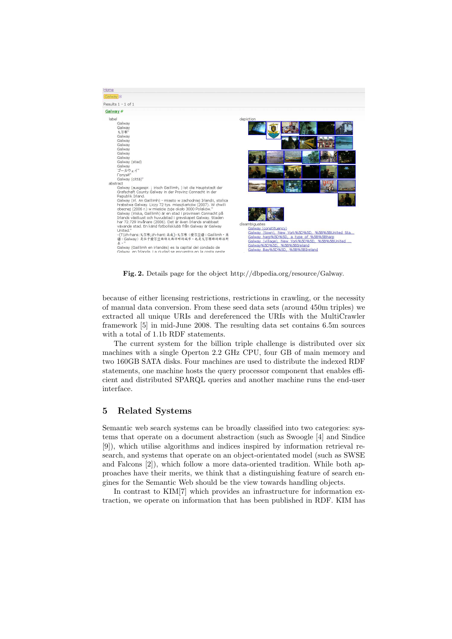

Fig. 2. Details page for the object http://dbpedia.org/resource/Galway.

because of either licensing restrictions, restrictions in crawling, or the necessity of manual data conversion. From these seed data sets (around 450m triples) we extracted all unique URIs and dereferenced the URIs with the MultiCrawler framework [5] in mid-June 2008. The resulting data set contains 6.5m sources with a total of 1.1b RDF statements.

The current system for the billion triple challenge is distributed over six machines with a single Operton 2.2 GHz CPU, four GB of main memory and two 160GB SATA disks. Four machines are used to distribute the indexed RDF statements, one machine hosts the query processor component that enables efficient and distributed SPARQL queries and another machine runs the end-user interface.

## 5 Related Systems

Semantic web search systems can be broadly classified into two categories: systems that operate on a document abstraction (such as Swoogle [4] and Sindice [9]), which utilise algorithms and indices inspired by information retrieval research, and systems that operate on an object-orientated model (such as SWSE and Falcons [2]), which follow a more data-oriented tradition. While both approaches have their merits, we think that a distinguishing feature of search engines for the Semantic Web should be the view towards handling objects.

In contrast to KIM[7] which provides an infrastructure for information extraction, we operate on information that has been published in RDF. KIM has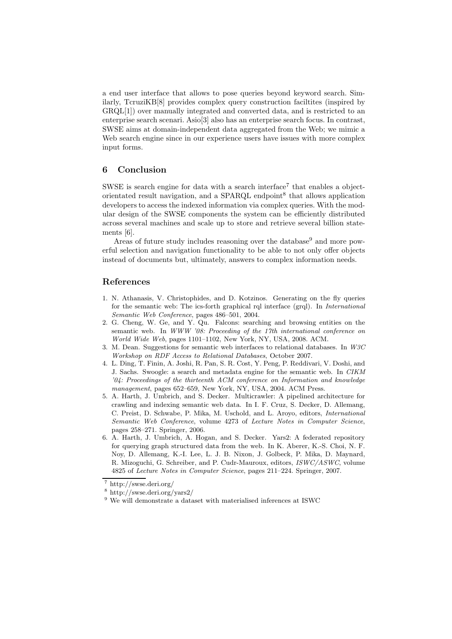a end user interface that allows to pose queries beyond keyword search. Similarly, TcruziKB[8] provides complex query construction faciltites (inspired by GRQL[1]) over manually integrated and converted data, and is restricted to an enterprise search scenari. Asio[3] also has an enterprise search focus. In contrast, SWSE aims at domain-independent data aggregated from the Web; we mimic a Web search engine since in our experience users have issues with more complex input forms.

### 6 Conclusion

SWSE is search engine for data with a search interface<sup>7</sup> that enables a objectorientated result navigation, and a SPARQL endpoint<sup>8</sup> that allows application developers to access the indexed information via complex queries. With the modular design of the SWSE components the system can be efficiently distributed across several machines and scale up to store and retrieve several billion statements [6].

Areas of future study includes reasoning over the database<sup>9</sup> and more powerful selection and navigation functionality to be able to not only offer objects instead of documents but, ultimately, answers to complex information needs.

## References

- 1. N. Athanasis, V. Christophides, and D. Kotzinos. Generating on the fly queries for the semantic web: The ics-forth graphical rql interface (grql). In International Semantic Web Conference, pages 486–501, 2004.
- 2. G. Cheng, W. Ge, and Y. Qu. Falcons: searching and browsing entities on the semantic web. In WWW '08: Proceeding of the 17th international conference on World Wide Web, pages 1101–1102, New York, NY, USA, 2008. ACM.
- 3. M. Dean. Suggestions for semantic web interfaces to relational databases. In  $W3C$ Workshop on RDF Access to Relational Databases, October 2007.
- 4. L. Ding, T. Finin, A. Joshi, R. Pan, S. R. Cost, Y. Peng, P. Reddivari, V. Doshi, and J. Sachs. Swoogle: a search and metadata engine for the semantic web. In CIKM '04: Proceedings of the thirteenth ACM conference on Information and knowledge management, pages 652–659, New York, NY, USA, 2004. ACM Press.
- 5. A. Harth, J. Umbrich, and S. Decker. Multicrawler: A pipelined architecture for crawling and indexing semantic web data. In I. F. Cruz, S. Decker, D. Allemang, C. Preist, D. Schwabe, P. Mika, M. Uschold, and L. Aroyo, editors, International Semantic Web Conference, volume 4273 of Lecture Notes in Computer Science, pages 258–271. Springer, 2006.
- 6. A. Harth, J. Umbrich, A. Hogan, and S. Decker. Yars2: A federated repository for querying graph structured data from the web. In K. Aberer, K.-S. Choi, N. F. Noy, D. Allemang, K.-I. Lee, L. J. B. Nixon, J. Golbeck, P. Mika, D. Maynard, R. Mizoguchi, G. Schreiber, and P. Cudr-Mauroux, editors, ISWC/ASWC, volume 4825 of Lecture Notes in Computer Science, pages 211–224. Springer, 2007.

<sup>7</sup> http://swse.deri.org/

<sup>8</sup> http://swse.deri.org/yars2/

 $9$  We will demonstrate a dataset with materialised inferences at ISWC